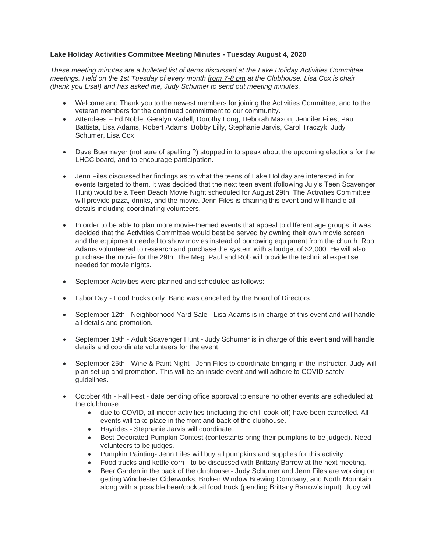#### **Lake Holiday Activities Committee Meeting Minutes - Tuesday August 4, 2020**

*These meeting minutes are a bulleted list of items discussed at the Lake Holiday Activities Committee meetings. Held on the 1st Tuesday of every month from 7-8 pm at the Clubhouse. Lisa Cox is chair (thank you Lisa!) and has asked me, Judy Schumer to send out meeting minutes.*

- Welcome and Thank you to the newest members for joining the Activities Committee, and to the veteran members for the continued commitment to our community.
- Attendees Ed Noble, Geralyn Vadell, Dorothy Long, Deborah Maxon, Jennifer Files, Paul Battista, Lisa Adams, Robert Adams, Bobby Lilly, Stephanie Jarvis, Carol Traczyk, Judy Schumer, Lisa Cox
- Dave Buermeyer (not sure of spelling ?) stopped in to speak about the upcoming elections for the LHCC board, and to encourage participation.
- Jenn Files discussed her findings as to what the teens of Lake Holiday are interested in for events targeted to them. It was decided that the next teen event (following July's Teen Scavenger Hunt) would be a Teen Beach Movie Night scheduled for August 29th. The Activities Committee will provide pizza, drinks, and the movie. Jenn Files is chairing this event and will handle all details including coordinating volunteers.
- In order to be able to plan more movie-themed events that appeal to different age groups, it was decided that the Activities Committee would best be served by owning their own movie screen and the equipment needed to show movies instead of borrowing equipment from the church. Rob Adams volunteered to research and purchase the system with a budget of \$2,000. He will also purchase the movie for the 29th, The Meg. Paul and Rob will provide the technical expertise needed for movie nights.
- September Activities were planned and scheduled as follows:
- Labor Day Food trucks only. Band was cancelled by the Board of Directors.
- September 12th Neighborhood Yard Sale Lisa Adams is in charge of this event and will handle all details and promotion.
- September 19th Adult Scavenger Hunt Judy Schumer is in charge of this event and will handle details and coordinate volunteers for the event.
- September 25th Wine & Paint Night Jenn Files to coordinate bringing in the instructor, Judy will plan set up and promotion. This will be an inside event and will adhere to COVID safety guidelines.
- October 4th Fall Fest date pending office approval to ensure no other events are scheduled at the clubhouse.
	- due to COVID, all indoor activities (including the chili cook-off) have been cancelled. All events will take place in the front and back of the clubhouse.
	- Hayrides Stephanie Jarvis will coordinate.
	- Best Decorated Pumpkin Contest (contestants bring their pumpkins to be judged). Need volunteers to be judges.
	- Pumpkin Painting- Jenn Files will buy all pumpkins and supplies for this activity.
	- Food trucks and kettle corn to be discussed with Brittany Barrow at the next meeting.
	- Beer Garden in the back of the clubhouse Judy Schumer and Jenn Files are working on getting Winchester Ciderworks, Broken Window Brewing Company, and North Mountain along with a possible beer/cocktail food truck (pending Brittany Barrow's input). Judy will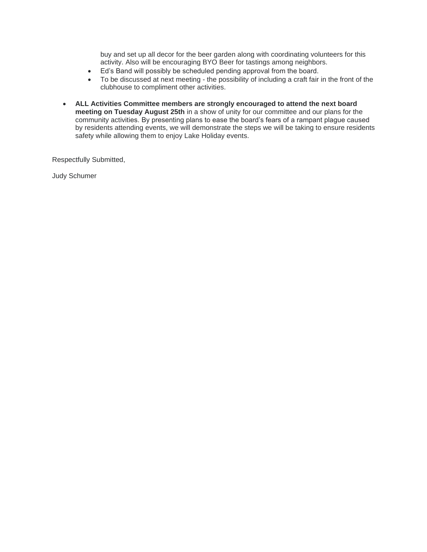buy and set up all decor for the beer garden along with coordinating volunteers for this activity. Also will be encouraging BYO Beer for tastings among neighbors.

- Ed's Band will possibly be scheduled pending approval from the board.
- To be discussed at next meeting the possibility of including a craft fair in the front of the clubhouse to compliment other activities.
- **ALL Activities Committee members are strongly encouraged to attend the next board meeting on Tuesday August 25th** in a show of unity for our committee and our plans for the community activities. By presenting plans to ease the board's fears of a rampant plague caused by residents attending events, we will demonstrate the steps we will be taking to ensure residents safety while allowing them to enjoy Lake Holiday events.

Respectfully Submitted,

Judy Schumer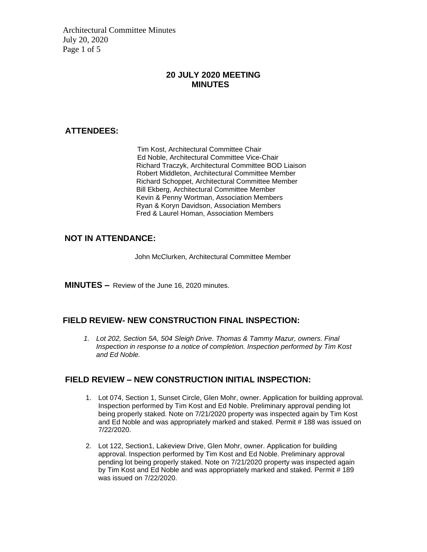Architectural Committee Minutes July 20, 2020 Page 1 of 5

## **20 JULY 2020 MEETING MINUTES**

#### **ATTENDEES:**

Tim Kost, Architectural Committee Chair Ed Noble, Architectural Committee Vice-Chair Richard Traczyk, Architectural Committee BOD Liaison Robert Middleton, Architectural Committee Member Richard Schoppet, Architectural Committee Member Bill Ekberg, Architectural Committee Member Kevin & Penny Wortman, Association Members Ryan & Koryn Davidson, Association Members Fred & Laurel Homan, Association Members

## **NOT IN ATTENDANCE:**

John McClurken, Architectural Committee Member

**MINUTES –** Review of the June 16, 2020 minutes.

## **FIELD REVIEW- NEW CONSTRUCTION FINAL INSPECTION:**

*1. Lot 202, Section 5A, 504 Sleigh Drive. Thomas & Tammy Mazur, owners. Final Inspection in response to a notice of completion. Inspection performed by Tim Kost and Ed Noble.*

## **FIELD REVIEW – NEW CONSTRUCTION INITIAL INSPECTION:**

- 1. Lot 074, Section 1, Sunset Circle, Glen Mohr, owner. Application for building approval. Inspection performed by Tim Kost and Ed Noble. Preliminary approval pending lot being properly staked. Note on 7/21/2020 property was inspected again by Tim Kost and Ed Noble and was appropriately marked and staked. Permit # 188 was issued on 7/22/2020.
- 2. Lot 122, Section1, Lakeview Drive, Glen Mohr, owner. Application for building approval. Inspection performed by Tim Kost and Ed Noble. Preliminary approval pending lot being properly staked. Note on 7/21/2020 property was inspected again by Tim Kost and Ed Noble and was appropriately marked and staked. Permit # 189 was issued on 7/22/2020.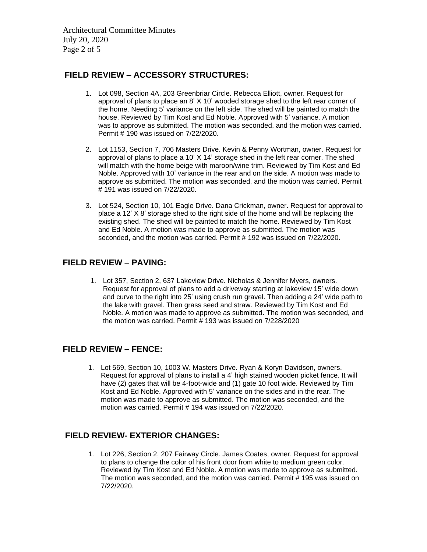Architectural Committee Minutes July 20, 2020 Page 2 of 5

#### **FIELD REVIEW – ACCESSORY STRUCTURES:**

- 1. Lot 098, Section 4A, 203 Greenbriar Circle. Rebecca Elliott, owner. Request for approval of plans to place an 8' X 10' wooded storage shed to the left rear corner of the home. Needing 5' variance on the left side. The shed will be painted to match the house. Reviewed by Tim Kost and Ed Noble. Approved with 5' variance. A motion was to approve as submitted. The motion was seconded, and the motion was carried. Permit # 190 was issued on 7/22/2020.
- 2. Lot 1153, Section 7, 706 Masters Drive. Kevin & Penny Wortman, owner. Request for approval of plans to place a 10' X 14' storage shed in the left rear corner. The shed will match with the home beige with maroon/wine trim. Reviewed by Tim Kost and Ed Noble. Approved with 10' variance in the rear and on the side. A motion was made to approve as submitted. The motion was seconded, and the motion was carried. Permit # 191 was issued on 7/22/2020.
- 3. Lot 524, Section 10, 101 Eagle Drive. Dana Crickman, owner. Request for approval to place a 12' X 8' storage shed to the right side of the home and will be replacing the existing shed. The shed will be painted to match the home. Reviewed by Tim Kost and Ed Noble. A motion was made to approve as submitted. The motion was seconded, and the motion was carried. Permit # 192 was issued on 7/22/2020.

#### **FIELD REVIEW – PAVING:**

1. Lot 357, Section 2, 637 Lakeview Drive. Nicholas & Jennifer Myers, owners. Request for approval of plans to add a driveway starting at lakeview 15' wide down and curve to the right into 25' using crush run gravel. Then adding a 24' wide path to the lake with gravel. Then grass seed and straw. Reviewed by Tim Kost and Ed Noble. A motion was made to approve as submitted. The motion was seconded, and the motion was carried. Permit # 193 was issued on 7/228/2020

## **FIELD REVIEW – FENCE:**

1. Lot 569, Section 10, 1003 W. Masters Drive. Ryan & Koryn Davidson, owners. Request for approval of plans to install a 4' high stained wooden picket fence. It will have (2) gates that will be 4-foot-wide and (1) gate 10 foot wide. Reviewed by Tim Kost and Ed Noble. Approved with 5' variance on the sides and in the rear. The motion was made to approve as submitted. The motion was seconded, and the motion was carried. Permit # 194 was issued on 7/22/2020.

## **FIELD REVIEW- EXTERIOR CHANGES:**

1. Lot 226, Section 2, 207 Fairway Circle. James Coates, owner. Request for approval to plans to change the color of his front door from white to medium green color. Reviewed by Tim Kost and Ed Noble. A motion was made to approve as submitted. The motion was seconded, and the motion was carried. Permit # 195 was issued on 7/22/2020.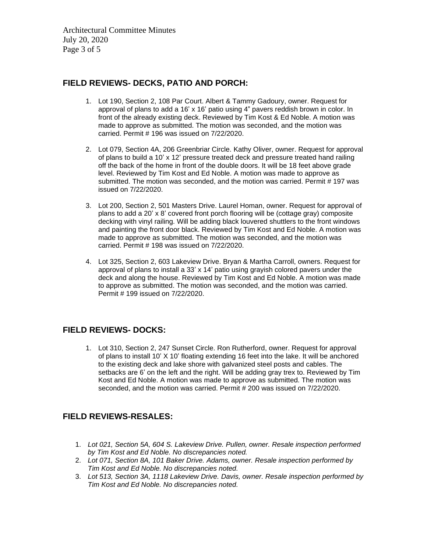Architectural Committee Minutes July 20, 2020 Page 3 of 5

#### **FIELD REVIEWS- DECKS, PATIO AND PORCH:**

- 1. Lot 190, Section 2, 108 Par Court. Albert & Tammy Gadoury, owner. Request for approval of plans to add a 16' x 16' patio using 4" pavers reddish brown in color. In front of the already existing deck. Reviewed by Tim Kost & Ed Noble. A motion was made to approve as submitted. The motion was seconded, and the motion was carried. Permit # 196 was issued on 7/22/2020.
- 2. Lot 079, Section 4A, 206 Greenbriar Circle. Kathy Oliver, owner. Request for approval of plans to build a 10' x 12' pressure treated deck and pressure treated hand railing off the back of the home in front of the double doors. It will be 18 feet above grade level. Reviewed by Tim Kost and Ed Noble. A motion was made to approve as submitted. The motion was seconded, and the motion was carried. Permit # 197 was issued on 7/22/2020.
- 3. Lot 200, Section 2, 501 Masters Drive. Laurel Homan, owner. Request for approval of plans to add a 20'  $\times$  8' covered front porch flooring will be (cottage gray) composite decking with vinyl railing. Will be adding black louvered shuttlers to the front windows and painting the front door black. Reviewed by Tim Kost and Ed Noble. A motion was made to approve as submitted. The motion was seconded, and the motion was carried. Permit # 198 was issued on 7/22/2020.
- 4. Lot 325, Section 2, 603 Lakeview Drive. Bryan & Martha Carroll, owners. Request for approval of plans to install a 33' x 14' patio using grayish colored pavers under the deck and along the house. Reviewed by Tim Kost and Ed Noble. A motion was made to approve as submitted. The motion was seconded, and the motion was carried. Permit # 199 issued on 7/22/2020.

## **FIELD REVIEWS- DOCKS:**

1. Lot 310, Section 2, 247 Sunset Circle. Ron Rutherford, owner. Request for approval of plans to install 10' X 10' floating extending 16 feet into the lake. It will be anchored to the existing deck and lake shore with galvanized steel posts and cables. The setbacks are 6' on the left and the right. Will be adding gray trex to. Reviewed by Tim Kost and Ed Noble. A motion was made to approve as submitted. The motion was seconded, and the motion was carried. Permit # 200 was issued on 7/22/2020.

## **FIELD REVIEWS-RESALES:**

- 1. *Lot 021, Section 5A, 604 S. Lakeview Drive. Pullen, owner. Resale inspection performed by Tim Kost and Ed Noble. No discrepancies noted.*
- 2. *Lot 071, Section 8A, 101 Baker Drive. Adams, owner. Resale inspection performed by Tim Kost and Ed Noble. No discrepancies noted.*
- 3. *Lot 513, Section 3A, 1118 Lakeview Drive. Davis, owner. Resale inspection performed by Tim Kost and Ed Noble. No discrepancies noted.*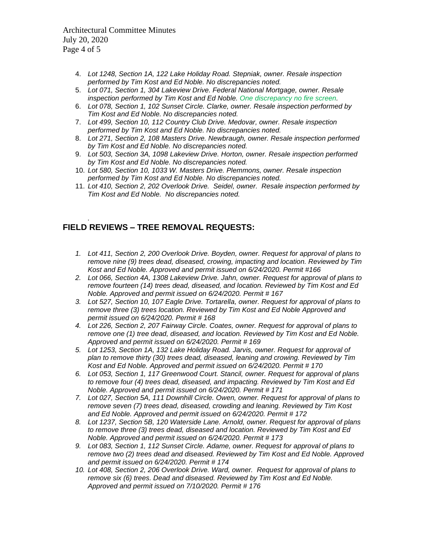Architectural Committee Minutes July 20, 2020 Page 4 of 5

- 4. *Lot 1248, Section 1A, 122 Lake Holiday Road. Stepniak, owner. Resale inspection performed by Tim Kost and Ed Noble. No discrepancies noted.*
- 5. *Lot 071, Section 1, 304 Lakeview Drive. Federal National Mortgage, owner. Resale inspection performed by Tim Kost and Ed Noble. One discrepancy no fire screen.*
- 6. *Lot 078, Section 1, 102 Sunset Circle. Clarke, owner. Resale inspection performed by Tim Kost and Ed Noble. No discrepancies noted.*
- 7. *Lot 499, Section 10, 112 Country Club Drive. Medovar, owner. Resale inspection performed by Tim Kost and Ed Noble. No discrepancies noted.*
- 8. *Lot 271, Section 2, 108 Masters Drive. Newbraugh, owner. Resale inspection performed by Tim Kost and Ed Noble. No discrepancies noted.*
- 9. *Lot 503, Section 3A, 1098 Lakeview Drive. Horton, owner. Resale inspection performed by Tim Kost and Ed Noble. No discrepancies noted.*
- 10. *Lot 580, Section 10, 1033 W. Masters Drive. Plemmons, owner. Resale inspection performed by Tim Kost and Ed Noble. No discrepancies noted.*
- 11. *Lot 410, Section 2, 202 Overlook Drive. Seidel, owner. Resale inspection performed by Tim Kost and Ed Noble. No discrepancies noted.*

#### *.* **FIELD REVIEWS – TREE REMOVAL REQUESTS:**

- *1. Lot 411, Section 2, 200 Overlook Drive. Boyden, owner. Request for approval of plans to remove nine (9) trees dead, diseased, crowing, impacting and location. Reviewed by Tim Kost and Ed Noble. Approved and permit issued on 6/24/2020. Permit #166*
- *2. Lot 066, Section 4A, 1308 Lakeview Drive. Jahn, owner. Request for approval of plans to remove fourteen (14) trees dead, diseased, and location. Reviewed by Tim Kost and Ed Noble. Approved and permit issued on 6/24/2020. Permit # 167*
- *3. Lot 527, Section 10, 107 Eagle Drive. Tortarella, owner. Request for approval of plans to remove three (3) trees location. Reviewed by Tim Kost and Ed Noble Approved and permit issued on 6/24/2020. Permit # 168*
- *4. Lot 226, Section 2, 207 Fairway Circle. Coates, owner. Request for approval of plans to remove one (1) tree dead, diseased, and location. Reviewed by Tim Kost and Ed Noble. Approved and permit issued on 6/24/2020. Permit # 169*
- *5. Lot 1253, Section 1A, 132 Lake Holiday Road. Jarvis, owner. Request for approval of plan to remove thirty (30) trees dead, diseased, leaning and crowing. Reviewed by Tim Kost and Ed Noble. Approved and permit issued on 6/24/2020. Permit # 170*
- *6. Lot 053, Section 1, 117 Greenwood Court. Stancil, owner. Request for approval of plans to remove four (4) trees dead, diseased, and impacting. Reviewed by Tim Kost and Ed Noble. Approved and permit issued on 6/24/2020. Permit # 171*
- *7. Lot 027, Section 5A, 111 Downhill Circle. Owen, owner. Request for approval of plans to remove seven (7) trees dead, diseased, crowding and leaning. Reviewed by Tim Kost and Ed Noble. Approved and permit issued on 6/24/2020. Permit # 172*
- *8. Lot 1237, Section 5B, 120 Waterside Lane. Arnold, owner. Request for approval of plans to remove three (3) trees dead, diseased and location. Reviewed by Tim Kost and Ed Noble. Approved and permit issued on 6/24/2020. Permit # 173*
- *9. Lot 083, Section 1, 112 Sunset Circle. Adame, owner. Request for approval of plans to remove two (2) trees dead and diseased. Reviewed by Tim Kost and Ed Noble. Approved and permit issued on 6/24/2020. Permit # 174*
- *10. Lot 408, Section 2, 206 Overlook Drive. Ward, owner. Request for approval of plans to remove six (6) trees. Dead and diseased. Reviewed by Tim Kost and Ed Noble. Approved and permit issued on 7/10/2020. Permit # 176*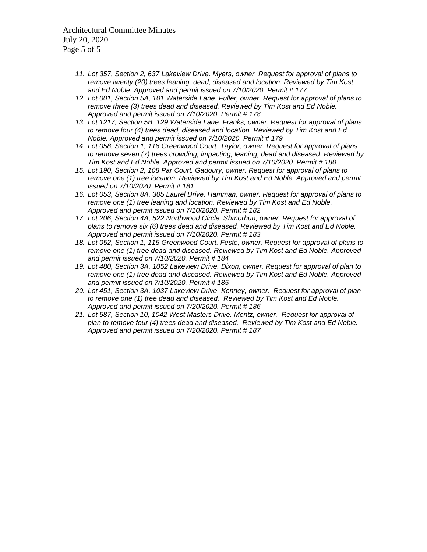Architectural Committee Minutes July 20, 2020 Page 5 of 5

- *11. Lot 357, Section 2, 637 Lakeview Drive. Myers, owner. Request for approval of plans to remove twenty (20) trees leaning, dead, diseased and location. Reviewed by Tim Kost and Ed Noble. Approved and permit issued on 7/10/2020. Permit # 177*
- *12. Lot 001, Section 5A, 101 Waterside Lane. Fuller, owner. Request for approval of plans to remove three (3) trees dead and diseased. Reviewed by Tim Kost and Ed Noble. Approved and permit issued on 7/10/2020. Permit # 178*
- *13. Lot 1217, Section 5B, 129 Waterside Lane. Franks, owner. Request for approval of plans to remove four (4) trees dead, diseased and location. Reviewed by Tim Kost and Ed Noble. Approved and permit issued on 7/10/2020. Permit # 179*
- *14. Lot 058, Section 1, 118 Greenwood Court. Taylor, owner. Request for approval of plans to remove seven (7) trees crowding, impacting, leaning, dead and diseased. Reviewed by Tim Kost and Ed Noble. Approved and permit issued on 7/10/2020. Permit # 180*
- *15. Lot 190, Section 2, 108 Par Court. Gadoury, owner. Request for approval of plans to remove one (1) tree location. Reviewed by Tim Kost and Ed Noble. Approved and permit issued on 7/10/2020. Permit # 181*
- *16. Lot 053, Section 8A, 305 Laurel Drive. Hamman, owner. Request for approval of plans to remove one (1) tree leaning and location. Reviewed by Tim Kost and Ed Noble. Approved and permit issued on 7/10/2020. Permit # 182*
- *17. Lot 206, Section 4A, 522 Northwood Circle. Shmorhun, owner. Request for approval of plans to remove six (6) trees dead and diseased. Reviewed by Tim Kost and Ed Noble. Approved and permit issued on 7/10/2020. Permit # 183*
- *18. Lot 052, Section 1, 115 Greenwood Court. Feste, owner. Request for approval of plans to remove one (1) tree dead and diseased. Reviewed by Tim Kost and Ed Noble. Approved and permit issued on 7/10/2020. Permit # 184*
- *19. Lot 480, Section 3A, 1052 Lakeview Drive. Dixon, owner. Request for approval of plan to remove one (1) tree dead and diseased. Reviewed by Tim Kost and Ed Noble. Approved and permit issued on 7/10/2020. Permit # 185*
- *20. Lot 451, Section 3A, 1037 Lakeview Drive. Kenney, owner. Request for approval of plan to remove one (1) tree dead and diseased. Reviewed by Tim Kost and Ed Noble. Approved and permit issued on 7/20/2020. Permit # 186*
- *21. Lot 587, Section 10, 1042 West Masters Drive. Mentz, owner. Request for approval of plan to remove four (4) trees dead and diseased. Reviewed by Tim Kost and Ed Noble. Approved and permit issued on 7/20/2020. Permit # 187*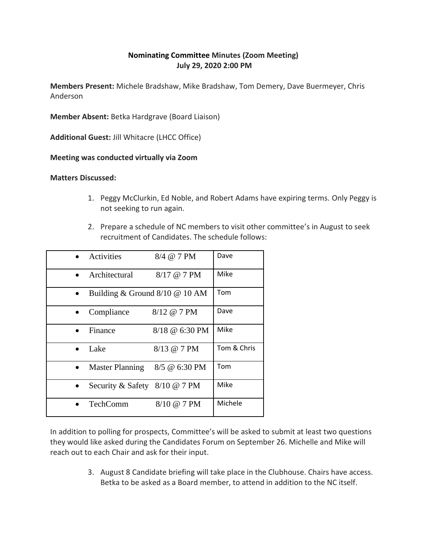# **Nominating Committee Minutes (Zoom Meeting) July 29, 2020 2:00 PM**

**Members Present:** Michele Bradshaw, Mike Bradshaw, Tom Demery, Dave Buermeyer, Chris Anderson

**Member Absent:** Betka Hardgrave (Board Liaison)

**Additional Guest:** Jill Whitacre (LHCC Office)

**Meeting was conducted virtually via Zoom**

**Matters Discussed:** 

- 1. Peggy McClurkin, Ed Noble, and Robert Adams have expiring terms. Only Peggy is not seeking to run again.
- 2. Prepare a schedule of NC members to visit other committee's in August to seek recruitment of Candidates. The schedule follows:

|           | Activities                         | 8/4 @ 7 PM            | Dave        |
|-----------|------------------------------------|-----------------------|-------------|
| $\bullet$ | Architectural                      | 8/17 @ 7 PM           | Mike        |
| $\bullet$ | Building & Ground $8/10 \ @$ 10 AM |                       | Tom         |
|           | Compliance                         | 8/12 @ 7 PM           | Dave        |
|           | Finance                            | $8/18 \ @ 6:30 \ P M$ | Mike        |
| $\bullet$ | Lake                               | 8/13 @ 7 PM           | Tom & Chris |
| $\bullet$ | <b>Master Planning</b>             | 8/5 @ 6:30 PM         | Tom         |
|           | Security & Safety 8/10 @ 7 PM      |                       | Mike        |
|           | TechComm                           | 8/10 @ 7 PM           | Michele     |

In addition to polling for prospects, Committee's will be asked to submit at least two questions they would like asked during the Candidates Forum on September 26. Michelle and Mike will reach out to each Chair and ask for their input.

> 3. August 8 Candidate briefing will take place in the Clubhouse. Chairs have access. Betka to be asked as a Board member, to attend in addition to the NC itself.